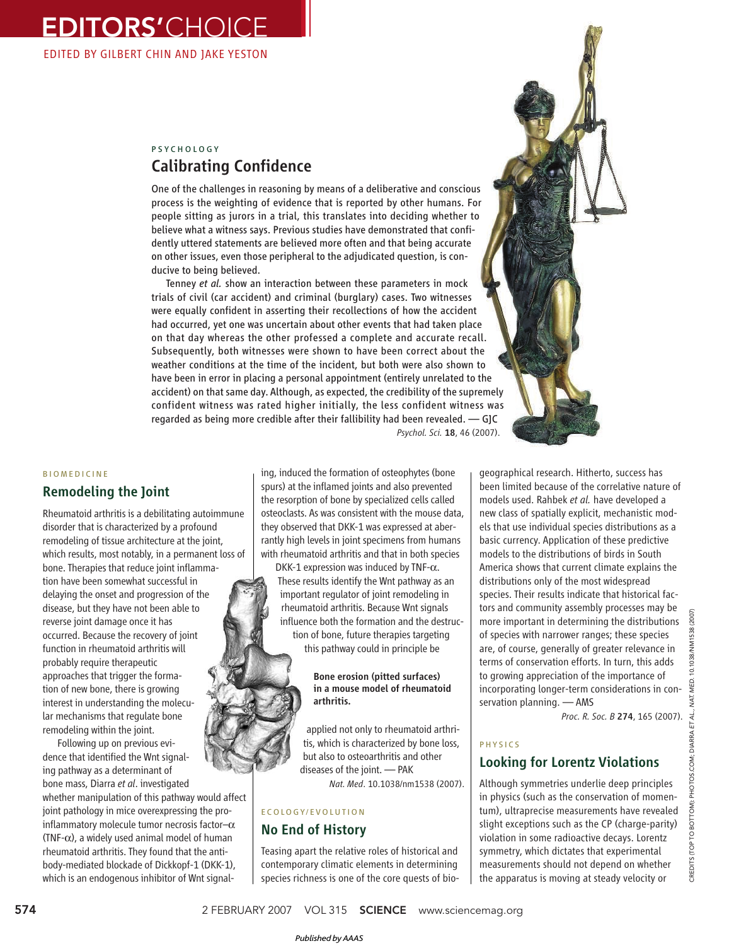EDITORS'CHOICE EDITED BY GILBERT CHIN AND JAKE YESTON

# PSYCHOLOGY Calibrating Confidence

One of the challenges in reasoning by means of a deliberative and conscious process is the weighting of evidence that is reported by other humans. For people sitting as jurors in a trial, this translates into deciding whether to believe what a witness says. Previous studies have demonstrated that confidently uttered statements are believed more often and that being accurate on other issues, even those peripheral to the adjudicated question, is conducive to being believed.

Tenney *et al.* show an interaction between these parameters in mock trials of civil (car accident) and criminal (burglary) cases. Two witnesses were equally confident in asserting their recollections of how the accident had occurred, yet one was uncertain about other events that had taken place on that day whereas the other professed a complete and accurate recall. Subsequently, both witnesses were shown to have been correct about the weather conditions at the time of the incident, but both were also shown to have been in error in placing a personal appointment (entirely unrelated to the accident) on that same day. Although, as expected, the credibility of the supremely confident witness was rated higher initially, the less confident witness was regarded as being more credible after their fallibility had been revealed. — GJC *Psychol. Sci.* 18, 46 (2007).

#### BIOMEDICINE

## Remodeling the Joint

Rheumatoid arthritis is a debilitating autoimmune disorder that is characterized by a profound remodeling of tissue architecture at the joint, which results, most notably, in a permanent loss of bone. Therapies that reduce joint inflammation have been somewhat successful in delaying the onset and progression of the disease, but they have not been able to reverse joint damage once it has occurred. Because the recovery of joint function in rheumatoid arthritis will probably require therapeutic approaches that trigger the formation of new bone, there is growing interest in understanding the molecular mechanisms that regulate bone remodeling within the joint.

Following up on previous evidence that identified the Wnt signaling pathway as a determinant of bone mass, Diarra *et al*. investigated

whether manipulation of this pathway would affect joint pathology in mice overexpressing the proinflammatory molecule tumor necrosis factor- $\alpha$ (TNF- $\alpha$ ), a widely used animal model of human rheumatoid arthritis. They found that the antibody-mediated blockade of Dickkopf-1 (DKK-1), which is an endogenous inhibitor of Wnt signal-

ing, induced the formation of osteophytes (bone spurs) at the inflamed joints and also prevented the resorption of bone by specialized cells called osteoclasts. As was consistent with the mouse data, they observed that DKK-1 was expressed at aberrantly high levels in joint specimens from humans with rheumatoid arthritis and that in both species

DKK-1 expression was induced by TNF- $\alpha$ . These results identify the Wnt pathway as an important regulator of joint remodeling in rheumatoid arthritis. Because Wnt signals influence both the formation and the destruction of bone, future therapies targeting this pathway could in principle be

#### Bone erosion (pitted surfaces) in a mouse model of rheumatoid arthritis.

applied not only to rheumatoid arthritis, which is characterized by bone loss, but also to osteoarthritis and other diseases of the joint. — PAK *Nat. Med*. 10.1038/nm1538 (2007).

# ECOLOGY/EVOLUTION

# No End of History

Teasing apart the relative roles of historical and contemporary climatic elements in determining species richness is one of the core quests of biogeographical research. Hitherto, success has been limited because of the correlative nature of models used. Rahbek *et al.* have developed a new class of spatially explicit, mechanistic models that use individual species distributions as a basic currency. Application of these predictive models to the distributions of birds in South America shows that current climate explains the distributions only of the most widespread species. Their results indicate that historical factors and community assembly processes may be more important in determining the distributions of species with narrower ranges; these species are, of course, generally of greater relevance in terms of conservation efforts. In turn, this adds to growing appreciation of the importance of incorporating longer-term considerations in conservation planning. — AMS

*Proc. R. Soc. B* 274, 165 (2007).

#### PHYSICS

# Looking for Lorentz Violations

Although symmetries underlie deep principles in physics (such as the conservation of momentum), ultraprecise measurements have revealed slight exceptions such as the CP (charge-parity) violation in some radioactive decays. Lorentz symmetry, which dictates that experimental measurements should not depend on whether the apparatus is moving at steady velocity or

 $(2007)$ 1538